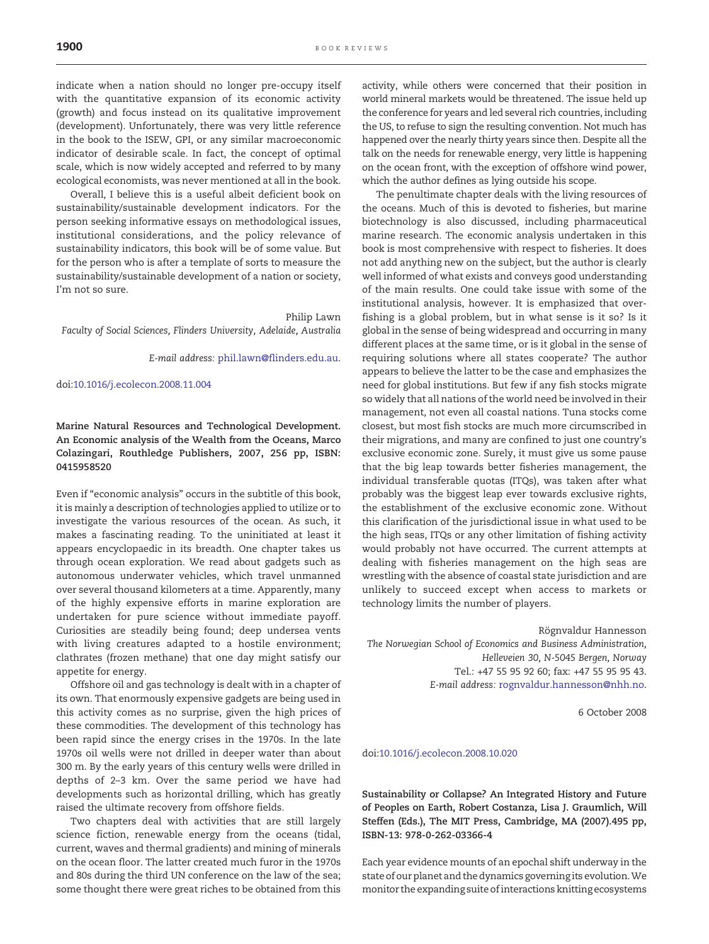indicate when a nation should no longer pre-occupy itself with the quantitative expansion of its economic activity (growth) and focus instead on its qualitative improvement (development). Unfortunately, there was very little reference in the book to the ISEW, GPI, or any similar macroeconomic indicator of desirable scale. In fact, the concept of optimal scale, which is now widely accepted and referred to by many ecological economists, was never mentioned at all in the book.

Overall, I believe this is a useful albeit deficient book on sustainability/sustainable development indicators. For the person seeking informative essays on methodological issues, institutional considerations, and the policy relevance of sustainability indicators, this book will be of some value. But for the person who is after a template of sorts to measure the sustainability/sustainable development of a nation or society, I'm not so sure.

## Philip Lawn

Faculty of Social Sciences, Flinders University, Adelaide, Australia

E-mail address: [phil.lawn@flinders.edu.au](mailto:phil.lawn@flinders.edu.au).

## doi:[10.1016/j.ecolecon.2008.11.004](http://dx.doi.org/10.1016/j.ecolecon.2008.11.004)

Marine Natural Resources and Technological Development. An Economic analysis of the Wealth from the Oceans, Marco Colazingari, Routhledge Publishers, 2007, 256 pp, ISBN: 0415958520

Even if "economic analysis" occurs in the subtitle of this book, it is mainly a description of technologies applied to utilize or to investigate the various resources of the ocean. As such, it makes a fascinating reading. To the uninitiated at least it appears encyclopaedic in its breadth. One chapter takes us through ocean exploration. We read about gadgets such as autonomous underwater vehicles, which travel unmanned over several thousand kilometers at a time. Apparently, many of the highly expensive efforts in marine exploration are undertaken for pure science without immediate payoff. Curiosities are steadily being found; deep undersea vents with living creatures adapted to a hostile environment; clathrates (frozen methane) that one day might satisfy our appetite for energy.

Offshore oil and gas technology is dealt with in a chapter of its own. That enormously expensive gadgets are being used in this activity comes as no surprise, given the high prices of these commodities. The development of this technology has been rapid since the energy crises in the 1970s. In the late 1970s oil wells were not drilled in deeper water than about 300 m. By the early years of this century wells were drilled in depths of 2–3 km. Over the same period we have had developments such as horizontal drilling, which has greatly raised the ultimate recovery from offshore fields.

Two chapters deal with activities that are still largely science fiction, renewable energy from the oceans (tidal, current, waves and thermal gradients) and mining of minerals on the ocean floor. The latter created much furor in the 1970s and 80s during the third UN conference on the law of the sea; some thought there were great riches to be obtained from this

activity, while others were concerned that their position in world mineral markets would be threatened. The issue held up the conference for years and led several rich countries, including the US, to refuse to sign the resulting convention. Not much has happened over the nearly thirty years since then. Despite all the talk on the needs for renewable energy, very little is happening on the ocean front, with the exception of offshore wind power, which the author defines as lying outside his scope.

The penultimate chapter deals with the living resources of the oceans. Much of this is devoted to fisheries, but marine biotechnology is also discussed, including pharmaceutical marine research. The economic analysis undertaken in this book is most comprehensive with respect to fisheries. It does not add anything new on the subject, but the author is clearly well informed of what exists and conveys good understanding of the main results. One could take issue with some of the institutional analysis, however. It is emphasized that overfishing is a global problem, but in what sense is it so? Is it global in the sense of being widespread and occurring in many different places at the same time, or is it global in the sense of requiring solutions where all states cooperate? The author appears to believe the latter to be the case and emphasizes the need for global institutions. But few if any fish stocks migrate so widely that all nations of the world need be involved in their management, not even all coastal nations. Tuna stocks come closest, but most fish stocks are much more circumscribed in their migrations, and many are confined to just one country's exclusive economic zone. Surely, it must give us some pause that the big leap towards better fisheries management, the individual transferable quotas (ITQs), was taken after what probably was the biggest leap ever towards exclusive rights, the establishment of the exclusive economic zone. Without this clarification of the jurisdictional issue in what used to be the high seas, ITQs or any other limitation of fishing activity would probably not have occurred. The current attempts at dealing with fisheries management on the high seas are wrestling with the absence of coastal state jurisdiction and are unlikely to succeed except when access to markets or technology limits the number of players.

Rögnvaldur Hannesson The Norwegian School of Economics and Business Administration, Helleveien 30, N-5045 Bergen, Norway Tel.: +47 55 95 92 60; fax: +47 55 95 95 43. E-mail address: rognvaldur.hannesson@nhh.no.

6 October 2008

## doi:[10.1016/j.ecolecon.2008.10.020](http://dx.doi.org/10.1016/j.ecolecon.2008.10.020)

Sustainability or Collapse? An Integrated History and Future of Peoples on Earth, Robert Costanza, Lisa J. Graumlich, Will Steffen (Eds.), The MIT Press, Cambridge, MA (2007).495 pp, ISBN-13: 978-0-262-03366-4

Each year evidence mounts of an epochal shift underway in the state of our planet and the dynamics governing its evolution.We monitor the expanding suite of interactions knitting ecosystems